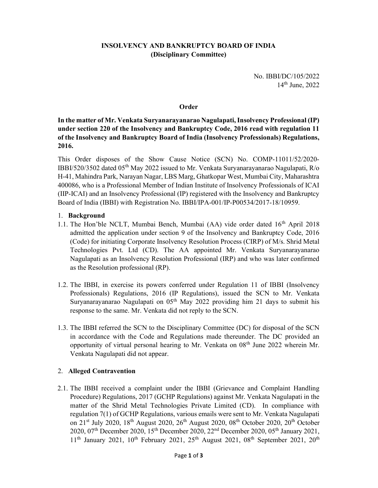## INSOLVENCY AND BANKRUPTCY BOARD OF INDIA (Disciplinary Committee)

No. IBBI/DC/105/2022 14th June, 2022

#### **Order**

In the matter of Mr. Venkata Suryanarayanarao Nagulapati, Insolvency Professional (IP) under section 220 of the Insolvency and Bankruptcy Code, 2016 read with regulation 11 of the Insolvency and Bankruptcy Board of India (Insolvency Professionals) Regulations, 2016.

This Order disposes of the Show Cause Notice (SCN) No. COMP-11011/52/2020- IBBI/520/3502 dated 05<sup>th</sup> May 2022 issued to Mr. Venkata Suryanarayanarao Nagulapati, R/o H-41, Mahindra Park, Narayan Nagar, LBS Marg, Ghatkopar West, Mumbai City, Maharashtra 400086, who is a Professional Member of Indian Institute of Insolvency Professionals of ICAI (IIP-ICAI) and an Insolvency Professional (IP) registered with the Insolvency and Bankruptcy Board of India (IBBI) with Registration No. IBBI/IPA-001/IP-P00534/2017-18/10959.

#### 1. Background

- 1.1. The Hon'ble NCLT, Mumbai Bench, Mumbai  $(AA)$  vide order dated  $16<sup>th</sup>$  April 2018 admitted the application under section 9 of the Insolvency and Bankruptcy Code, 2016 (Code) for initiating Corporate Insolvency Resolution Process (CIRP) of M/s. Shrid Metal Technologies Pvt. Ltd (CD). The AA appointed Mr. Venkata Suryanarayanarao Nagulapati as an Insolvency Resolution Professional (IRP) and who was later confirmed as the Resolution professional (RP).
- 1.2. The IBBI, in exercise its powers conferred under Regulation 11 of IBBI (Insolvency Professionals) Regulations, 2016 (IP Regulations), issued the SCN to Mr. Venkata Suryanarayanarao Nagulapati on 05<sup>th</sup> May 2022 providing him 21 days to submit his response to the same. Mr. Venkata did not reply to the SCN.
- 1.3. The IBBI referred the SCN to the Disciplinary Committee (DC) for disposal of the SCN in accordance with the Code and Regulations made thereunder. The DC provided an opportunity of virtual personal hearing to Mr. Venkata on 08<sup>th</sup> June 2022 wherein Mr. Venkata Nagulapati did not appear.

### 2. Alleged Contravention

2.1. The IBBI received a complaint under the IBBI (Grievance and Complaint Handling Procedure) Regulations, 2017 (GCHP Regulations) against Mr. Venkata Nagulapati in the matter of the Shrid Metal Technologies Private Limited (CD). In compliance with regulation 7(1) of GCHP Regulations, various emails were sent to Mr. Venkata Nagulapati on 21<sup>st</sup> July 2020, 18<sup>th</sup> August 2020, 26<sup>th</sup> August 2020, 08<sup>th</sup> October 2020, 20<sup>th</sup> October 2020, 07th December 2020, 15th December 2020, 22nd December 2020, 05th January 2021,  $11<sup>th</sup>$  January 2021,  $10<sup>th</sup>$  February 2021,  $25<sup>th</sup>$  August 2021,  $08<sup>th</sup>$  September 2021,  $20<sup>th</sup>$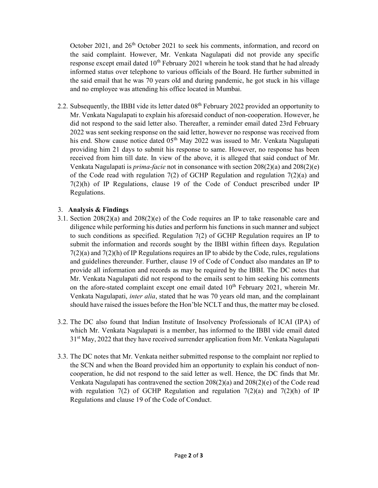October 2021, and 26<sup>th</sup> October 2021 to seek his comments, information, and record on the said complaint. However, Mr. Venkata Nagulapati did not provide any specific response except email dated  $10<sup>th</sup>$  February 2021 wherein he took stand that he had already informed status over telephone to various officials of the Board. He further submitted in the said email that he was 70 years old and during pandemic, he got stuck in his village and no employee was attending his office located in Mumbai.

2.2. Subsequently, the IBBI vide its letter dated 08<sup>th</sup> February 2022 provided an opportunity to Mr. Venkata Nagulapati to explain his aforesaid conduct of non-cooperation. However, he did not respond to the said letter also. Thereafter, a reminder email dated 23rd February 2022 was sent seeking response on the said letter, however no response was received from his end. Show cause notice dated 05<sup>th</sup> May 2022 was issued to Mr. Venkata Nagulapati providing him 21 days to submit his response to same. However, no response has been received from him till date. In view of the above, it is alleged that said conduct of Mr. Venkata Nagulapati is *prima-facie* not in consonance with section  $208(2)(a)$  and  $208(2)(e)$ of the Code read with regulation  $7(2)$  of GCHP Regulation and regulation  $7(2)(a)$  and 7(2)(h) of IP Regulations, clause 19 of the Code of Conduct prescribed under IP Regulations.

### 3. Analysis & Findings

- 3.1. Section  $208(2)(a)$  and  $208(2)(e)$  of the Code requires an IP to take reasonable care and diligence while performing his duties and perform his functions in such manner and subject to such conditions as specified. Regulation 7(2) of GCHP Regulation requires an IP to submit the information and records sought by the IBBI within fifteen days. Regulation  $7(2)(a)$  and  $7(2)(h)$  of IP Regulations requires an IP to abide by the Code, rules, regulations and guidelines thereunder. Further, clause 19 of Code of Conduct also mandates an IP to provide all information and records as may be required by the IBBI. The DC notes that Mr. Venkata Nagulapati did not respond to the emails sent to him seeking his comments on the afore-stated complaint except one email dated  $10<sup>th</sup>$  February 2021, wherein Mr. Venkata Nagulapati, inter alia, stated that he was 70 years old man, and the complainant should have raised the issues before the Hon'ble NCLT and thus, the matter may be closed.
- 3.2. The DC also found that Indian Institute of Insolvency Professionals of ICAI (IPA) of which Mr. Venkata Nagulapati is a member, has informed to the IBBI vide email dated 31<sup>st</sup> May, 2022 that they have received surrender application from Mr. Venkata Nagulapati
- 3.3. The DC notes that Mr. Venkata neither submitted response to the complaint nor replied to the SCN and when the Board provided him an opportunity to explain his conduct of noncooperation, he did not respond to the said letter as well. Hence, the DC finds that Mr. Venkata Nagulapati has contravened the section  $208(2)(a)$  and  $208(2)(e)$  of the Code read with regulation 7(2) of GCHP Regulation and regulation 7(2)(a) and 7(2)(h) of IP Regulations and clause 19 of the Code of Conduct.